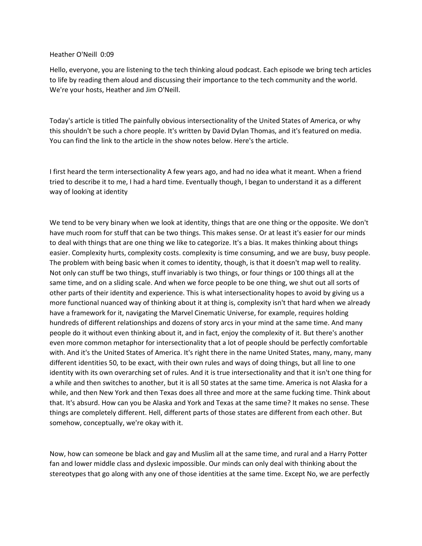#### Heather O'Neill 0:09

Hello, everyone, you are listening to the tech thinking aloud podcast. Each episode we bring tech articles to life by reading them aloud and discussing their importance to the tech community and the world. We're your hosts, Heather and Jim O'Neill.

Today's article is titled The painfully obvious intersectionality of the United States of America, or why this shouldn't be such a chore people. It's written by David Dylan Thomas, and it's featured on media. You can find the link to the article in the show notes below. Here's the article.

I first heard the term intersectionality A few years ago, and had no idea what it meant. When a friend tried to describe it to me, I had a hard time. Eventually though, I began to understand it as a different way of looking at identity

We tend to be very binary when we look at identity, things that are one thing or the opposite. We don't have much room for stuff that can be two things. This makes sense. Or at least it's easier for our minds to deal with things that are one thing we like to categorize. It's a bias. It makes thinking about things easier. Complexity hurts, complexity costs. complexity is time consuming, and we are busy, busy people. The problem with being basic when it comes to identity, though, is that it doesn't map well to reality. Not only can stuff be two things, stuff invariably is two things, or four things or 100 things all at the same time, and on a sliding scale. And when we force people to be one thing, we shut out all sorts of other parts of their identity and experience. This is what intersectionality hopes to avoid by giving us a more functional nuanced way of thinking about it at thing is, complexity isn't that hard when we already have a framework for it, navigating the Marvel Cinematic Universe, for example, requires holding hundreds of different relationships and dozens of story arcs in your mind at the same time. And many people do it without even thinking about it, and in fact, enjoy the complexity of it. But there's another even more common metaphor for intersectionality that a lot of people should be perfectly comfortable with. And it's the United States of America. It's right there in the name United States, many, many, many different identities 50, to be exact, with their own rules and ways of doing things, but all line to one identity with its own overarching set of rules. And it is true intersectionality and that it isn't one thing for a while and then switches to another, but it is all 50 states at the same time. America is not Alaska for a while, and then New York and then Texas does all three and more at the same fucking time. Think about that. It's absurd. How can you be Alaska and York and Texas at the same time? It makes no sense. These things are completely different. Hell, different parts of those states are different from each other. But somehow, conceptually, we're okay with it.

Now, how can someone be black and gay and Muslim all at the same time, and rural and a Harry Potter fan and lower middle class and dyslexic impossible. Our minds can only deal with thinking about the stereotypes that go along with any one of those identities at the same time. Except No, we are perfectly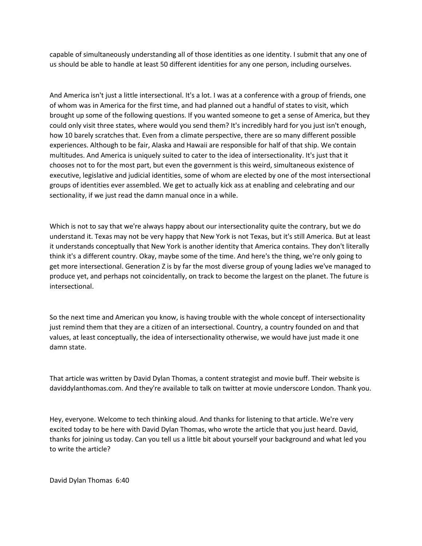capable of simultaneously understanding all of those identities as one identity. I submit that any one of us should be able to handle at least 50 different identities for any one person, including ourselves.

And America isn't just a little intersectional. It's a lot. I was at a conference with a group of friends, one of whom was in America for the first time, and had planned out a handful of states to visit, which brought up some of the following questions. If you wanted someone to get a sense of America, but they could only visit three states, where would you send them? It's incredibly hard for you just isn't enough, how 10 barely scratches that. Even from a climate perspective, there are so many different possible experiences. Although to be fair, Alaska and Hawaii are responsible for half of that ship. We contain multitudes. And America is uniquely suited to cater to the idea of intersectionality. It's just that it chooses not to for the most part, but even the government is this weird, simultaneous existence of executive, legislative and judicial identities, some of whom are elected by one of the most intersectional groups of identities ever assembled. We get to actually kick ass at enabling and celebrating and our sectionality, if we just read the damn manual once in a while.

Which is not to say that we're always happy about our intersectionality quite the contrary, but we do understand it. Texas may not be very happy that New York is not Texas, but it's still America. But at least it understands conceptually that New York is another identity that America contains. They don't literally think it's a different country. Okay, maybe some of the time. And here's the thing, we're only going to get more intersectional. Generation Z is by far the most diverse group of young ladies we've managed to produce yet, and perhaps not coincidentally, on track to become the largest on the planet. The future is intersectional.

So the next time and American you know, is having trouble with the whole concept of intersectionality just remind them that they are a citizen of an intersectional. Country, a country founded on and that values, at least conceptually, the idea of intersectionality otherwise, we would have just made it one damn state.

That article was written by David Dylan Thomas, a content strategist and movie buff. Their website is daviddylanthomas.com. And they're available to talk on twitter at movie underscore London. Thank you.

Hey, everyone. Welcome to tech thinking aloud. And thanks for listening to that article. We're very excited today to be here with David Dylan Thomas, who wrote the article that you just heard. David, thanks for joining us today. Can you tell us a little bit about yourself your background and what led you to write the article?

David Dylan Thomas 6:40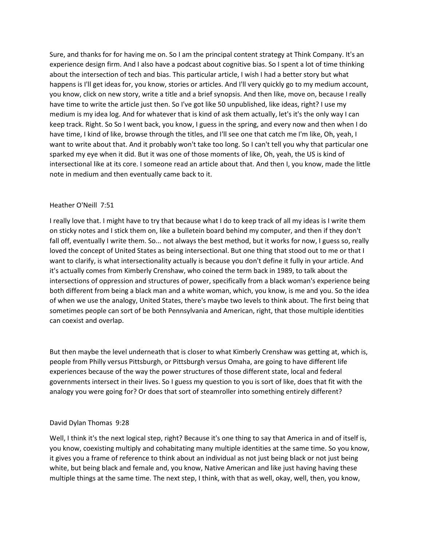Sure, and thanks for for having me on. So I am the principal content strategy at Think Company. It's an experience design firm. And I also have a podcast about cognitive bias. So I spent a lot of time thinking about the intersection of tech and bias. This particular article, I wish I had a better story but what happens is I'll get ideas for, you know, stories or articles. And I'll very quickly go to my medium account, you know, click on new story, write a title and a brief synopsis. And then like, move on, because I really have time to write the article just then. So I've got like 50 unpublished, like ideas, right? I use my medium is my idea log. And for whatever that is kind of ask them actually, let's it's the only way I can keep track. Right. So So I went back, you know, I guess in the spring, and every now and then when I do have time, I kind of like, browse through the titles, and I'll see one that catch me I'm like, Oh, yeah, I want to write about that. And it probably won't take too long. So I can't tell you why that particular one sparked my eye when it did. But it was one of those moments of like, Oh, yeah, the US is kind of intersectional like at its core. I someone read an article about that. And then I, you know, made the little note in medium and then eventually came back to it.

### Heather O'Neill 7:51

I really love that. I might have to try that because what I do to keep track of all my ideas is I write them on sticky notes and I stick them on, like a bulletein board behind my computer, and then if they don't fall off, eventually I write them. So... not always the best method, but it works for now, I guess so, really loved the concept of United States as being intersectional. But one thing that stood out to me or that I want to clarify, is what intersectionality actually is because you don't define it fully in your article. And it's actually comes from Kimberly Crenshaw, who coined the term back in 1989, to talk about the intersections of oppression and structures of power, specifically from a black woman's experience being both different from being a black man and a white woman, which, you know, is me and you. So the idea of when we use the analogy, United States, there's maybe two levels to think about. The first being that sometimes people can sort of be both Pennsylvania and American, right, that those multiple identities can coexist and overlap.

But then maybe the level underneath that is closer to what Kimberly Crenshaw was getting at, which is, people from Philly versus Pittsburgh, or Pittsburgh versus Omaha, are going to have different life experiences because of the way the power structures of those different state, local and federal governments intersect in their lives. So I guess my question to you is sort of like, does that fit with the analogy you were going for? Or does that sort of steamroller into something entirely different?

# David Dylan Thomas 9:28

Well, I think it's the next logical step, right? Because it's one thing to say that America in and of itself is, you know, coexisting multiply and cohabitating many multiple identities at the same time. So you know, it gives you a frame of reference to think about an individual as not just being black or not just being white, but being black and female and, you know, Native American and like just having having these multiple things at the same time. The next step, I think, with that as well, okay, well, then, you know,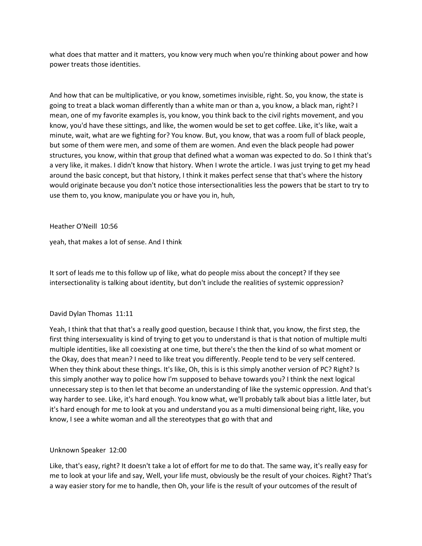what does that matter and it matters, you know very much when you're thinking about power and how power treats those identities.

And how that can be multiplicative, or you know, sometimes invisible, right. So, you know, the state is going to treat a black woman differently than a white man or than a, you know, a black man, right? I mean, one of my favorite examples is, you know, you think back to the civil rights movement, and you know, you'd have these sittings, and like, the women would be set to get coffee. Like, it's like, wait a minute, wait, what are we fighting for? You know. But, you know, that was a room full of black people, but some of them were men, and some of them are women. And even the black people had power structures, you know, within that group that defined what a woman was expected to do. So I think that's a very like, it makes. I didn't know that history. When I wrote the article. I was just trying to get my head around the basic concept, but that history, I think it makes perfect sense that that's where the history would originate because you don't notice those intersectionalities less the powers that be start to try to use them to, you know, manipulate you or have you in, huh,

Heather O'Neill 10:56

yeah, that makes a lot of sense. And I think

It sort of leads me to this follow up of like, what do people miss about the concept? If they see intersectionality is talking about identity, but don't include the realities of systemic oppression?

#### David Dylan Thomas 11:11

Yeah, I think that that that's a really good question, because I think that, you know, the first step, the first thing intersexuality is kind of trying to get you to understand is that is that notion of multiple multi multiple identities, like all coexisting at one time, but there's the then the kind of so what moment or the Okay, does that mean? I need to like treat you differently. People tend to be very self centered. When they think about these things. It's like, Oh, this is is this simply another version of PC? Right? Is this simply another way to police how I'm supposed to behave towards you? I think the next logical unnecessary step is to then let that become an understanding of like the systemic oppression. And that's way harder to see. Like, it's hard enough. You know what, we'll probably talk about bias a little later, but it's hard enough for me to look at you and understand you as a multi dimensional being right, like, you know, I see a white woman and all the stereotypes that go with that and

#### Unknown Speaker 12:00

Like, that's easy, right? It doesn't take a lot of effort for me to do that. The same way, it's really easy for me to look at your life and say, Well, your life must, obviously be the result of your choices. Right? That's a way easier story for me to handle, then Oh, your life is the result of your outcomes of the result of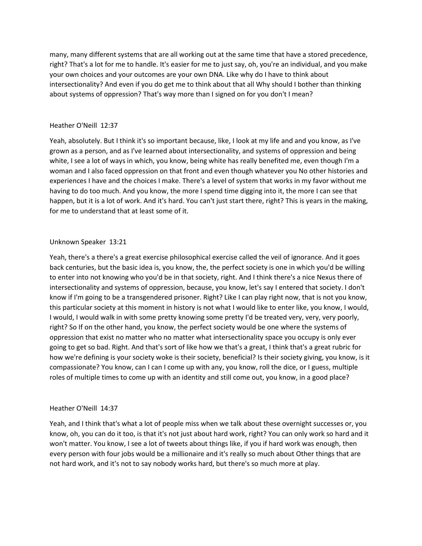many, many different systems that are all working out at the same time that have a stored precedence, right? That's a lot for me to handle. It's easier for me to just say, oh, you're an individual, and you make your own choices and your outcomes are your own DNA. Like why do I have to think about intersectionality? And even if you do get me to think about that all Why should I bother than thinking about systems of oppression? That's way more than I signed on for you don't I mean?

### Heather O'Neill 12:37

Yeah, absolutely. But I think it's so important because, like, I look at my life and and you know, as I've grown as a person, and as I've learned about intersectionality, and systems of oppression and being white, I see a lot of ways in which, you know, being white has really benefited me, even though I'm a woman and I also faced oppression on that front and even though whatever you No other histories and experiences I have and the choices I make. There's a level of system that works in my favor without me having to do too much. And you know, the more I spend time digging into it, the more I can see that happen, but it is a lot of work. And it's hard. You can't just start there, right? This is years in the making, for me to understand that at least some of it.

### Unknown Speaker 13:21

Yeah, there's a there's a great exercise philosophical exercise called the veil of ignorance. And it goes back centuries, but the basic idea is, you know, the, the perfect society is one in which you'd be willing to enter into not knowing who you'd be in that society, right. And I think there's a nice Nexus there of intersectionality and systems of oppression, because, you know, let's say I entered that society. I don't know if I'm going to be a transgendered prisoner. Right? Like I can play right now, that is not you know, this particular society at this moment in history is not what I would like to enter like, you know, I would, I would, I would walk in with some pretty knowing some pretty I'd be treated very, very, very poorly, right? So If on the other hand, you know, the perfect society would be one where the systems of oppression that exist no matter who no matter what intersectionality space you occupy is only ever going to get so bad. Right. And that's sort of like how we that's a great, I think that's a great rubric for how we're defining is your society woke is their society, beneficial? Is their society giving, you know, is it compassionate? You know, can I can I come up with any, you know, roll the dice, or I guess, multiple roles of multiple times to come up with an identity and still come out, you know, in a good place?

#### Heather O'Neill 14:37

Yeah, and I think that's what a lot of people miss when we talk about these overnight successes or, you know, oh, you can do it too, is that it's not just about hard work, right? You can only work so hard and it won't matter. You know, I see a lot of tweets about things like, if you if hard work was enough, then every person with four jobs would be a millionaire and it's really so much about Other things that are not hard work, and it's not to say nobody works hard, but there's so much more at play.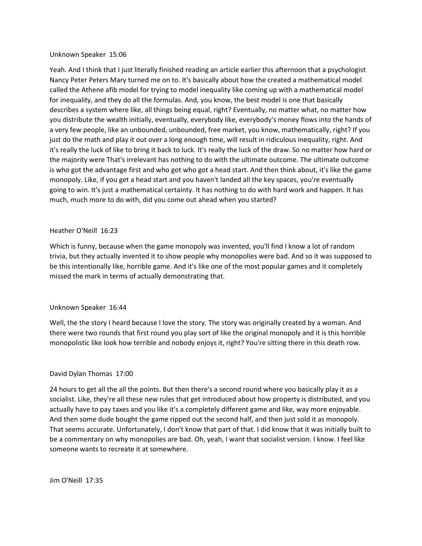#### Unknown Speaker 15:06

Yeah. And I think that I just literally finished reading an article earlier this afternoon that a psychologist Nancy Peter Peters Mary turned me on to. It's basically about how the created a mathematical model called the Athene afib model for trying to model inequality like coming up with a mathematical model for inequality, and they do all the formulas. And, you know, the best model is one that basically describes a system where like, all things being equal, right? Eventually, no matter what, no matter how you distribute the wealth initially, eventually, everybody like, everybody's money flows into the hands of a very few people, like an unbounded, unbounded, free market, you know, mathematically, right? If you just do the math and play it out over a long enough time, will result in ridiculous inequality, right. And it's really the luck of like to bring it back to luck. It's really the luck of the draw. So no matter how hard or the majority were That's irrelevant has nothing to do with the ultimate outcome. The ultimate outcome is who got the advantage first and who got who got a head start. And then think about, it's like the game monopoly. Like, if you get a head start and you haven't landed all the key spaces, you're eventually going to win. It's just a mathematical certainty. It has nothing to do with hard work and happen. It has much, much more to do with, did you come out ahead when you started?

#### Heather O'Neill 16:23

Which is funny, because when the game monopoly was invented, you'll find I know a lot of random trivia, but they actually invented it to show people why monopolies were bad. And so it was supposed to be this intentionally like, horrible game. And it's like one of the most popular games and it completely missed the mark in terms of actually demonstrating that.

#### Unknown Speaker 16:44

Well, the the story I heard because I love the story. The story was originally created by a woman. And there were two rounds that first round you play sort of like the original monopoly and it is this horrible monopolistic like look how terrible and nobody enjoys it, right? You're sitting there in this death row.

# David Dylan Thomas 17:00

24 hours to get all the all the points. But then there's a second round where you basically play it as a socialist. Like, they're all these new rules that get introduced about how property is distributed, and you actually have to pay taxes and you like it's a completely different game and like, way more enjoyable. And then some dude bought the game ripped out the second half, and then just sold it as monopoly. That seems accurate. Unfortunately, I don't know that part of that. I did know that it was initially built to be a commentary on why monopolies are bad. Oh, yeah, I want that socialist version. I know. I feel like someone wants to recreate it at somewhere.

Jim O'Neill 17:35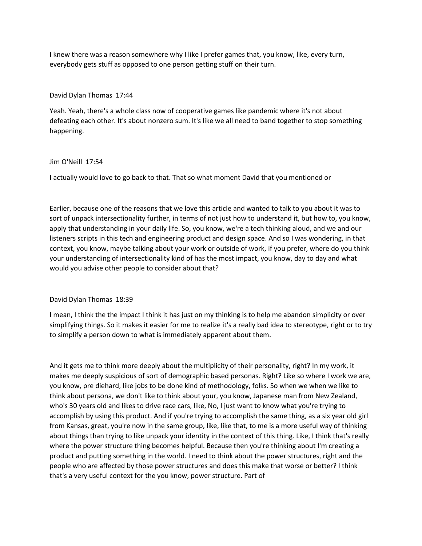I knew there was a reason somewhere why I like I prefer games that, you know, like, every turn, everybody gets stuff as opposed to one person getting stuff on their turn.

### David Dylan Thomas 17:44

Yeah. Yeah, there's a whole class now of cooperative games like pandemic where it's not about defeating each other. It's about nonzero sum. It's like we all need to band together to stop something happening.

### Jim O'Neill 17:54

I actually would love to go back to that. That so what moment David that you mentioned or

Earlier, because one of the reasons that we love this article and wanted to talk to you about it was to sort of unpack intersectionality further, in terms of not just how to understand it, but how to, you know, apply that understanding in your daily life. So, you know, we're a tech thinking aloud, and we and our listeners scripts in this tech and engineering product and design space. And so I was wondering, in that context, you know, maybe talking about your work or outside of work, if you prefer, where do you think your understanding of intersectionality kind of has the most impact, you know, day to day and what would you advise other people to consider about that?

# David Dylan Thomas 18:39

I mean, I think the the impact I think it has just on my thinking is to help me abandon simplicity or over simplifying things. So it makes it easier for me to realize it's a really bad idea to stereotype, right or to try to simplify a person down to what is immediately apparent about them.

And it gets me to think more deeply about the multiplicity of their personality, right? In my work, it makes me deeply suspicious of sort of demographic based personas. Right? Like so where I work we are, you know, pre diehard, like jobs to be done kind of methodology, folks. So when we when we like to think about persona, we don't like to think about your, you know, Japanese man from New Zealand, who's 30 years old and likes to drive race cars, like, No, I just want to know what you're trying to accomplish by using this product. And if you're trying to accomplish the same thing, as a six year old girl from Kansas, great, you're now in the same group, like, like that, to me is a more useful way of thinking about things than trying to like unpack your identity in the context of this thing. Like, I think that's really where the power structure thing becomes helpful. Because then you're thinking about I'm creating a product and putting something in the world. I need to think about the power structures, right and the people who are affected by those power structures and does this make that worse or better? I think that's a very useful context for the you know, power structure. Part of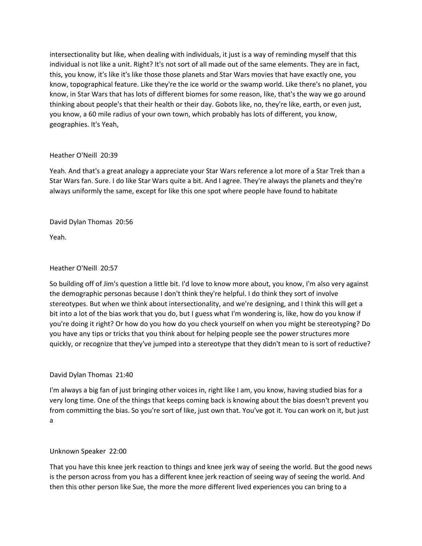intersectionality but like, when dealing with individuals, it just is a way of reminding myself that this individual is not like a unit. Right? It's not sort of all made out of the same elements. They are in fact, this, you know, it's like it's like those those planets and Star Wars movies that have exactly one, you know, topographical feature. Like they're the ice world or the swamp world. Like there's no planet, you know, in Star Wars that has lots of different biomes for some reason, like, that's the way we go around thinking about people's that their health or their day. Gobots like, no, they're like, earth, or even just, you know, a 60 mile radius of your own town, which probably has lots of different, you know, geographies. It's Yeah,

# Heather O'Neill 20:39

Yeah. And that's a great analogy a appreciate your Star Wars reference a lot more of a Star Trek than a Star Wars fan. Sure. I do like Star Wars quite a bit. And I agree. They're always the planets and they're always uniformly the same, except for like this one spot where people have found to habitate

David Dylan Thomas 20:56

Yeah.

# Heather O'Neill 20:57

So building off of Jim's question a little bit. I'd love to know more about, you know, I'm also very against the demographic personas because I don't think they're helpful. I do think they sort of involve stereotypes. But when we think about intersectionality, and we're designing, and I think this will get a bit into a lot of the bias work that you do, but I guess what I'm wondering is, like, how do you know if you're doing it right? Or how do you how do you check yourself on when you might be stereotyping? Do you have any tips or tricks that you think about for helping people see the power structures more quickly, or recognize that they've jumped into a stereotype that they didn't mean to is sort of reductive?

# David Dylan Thomas 21:40

I'm always a big fan of just bringing other voices in, right like I am, you know, having studied bias for a very long time. One of the things that keeps coming back is knowing about the bias doesn't prevent you from committing the bias. So you're sort of like, just own that. You've got it. You can work on it, but just a

# Unknown Speaker 22:00

That you have this knee jerk reaction to things and knee jerk way of seeing the world. But the good news is the person across from you has a different knee jerk reaction of seeing way of seeing the world. And then this other person like Sue, the more the more different lived experiences you can bring to a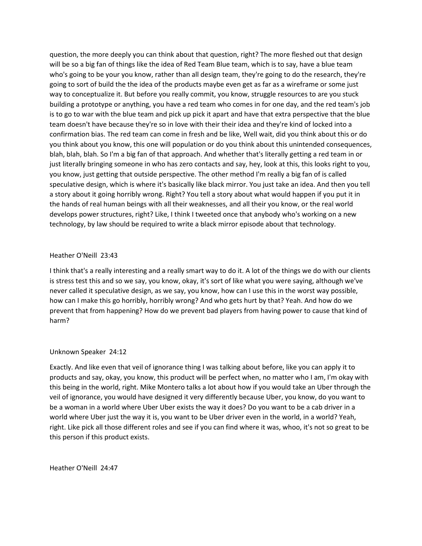question, the more deeply you can think about that question, right? The more fleshed out that design will be so a big fan of things like the idea of Red Team Blue team, which is to say, have a blue team who's going to be your you know, rather than all design team, they're going to do the research, they're going to sort of build the the idea of the products maybe even get as far as a wireframe or some just way to conceptualize it. But before you really commit, you know, struggle resources to are you stuck building a prototype or anything, you have a red team who comes in for one day, and the red team's job is to go to war with the blue team and pick up pick it apart and have that extra perspective that the blue team doesn't have because they're so in love with their their idea and they're kind of locked into a confirmation bias. The red team can come in fresh and be like, Well wait, did you think about this or do you think about you know, this one will population or do you think about this unintended consequences, blah, blah, blah. So I'm a big fan of that approach. And whether that's literally getting a red team in or just literally bringing someone in who has zero contacts and say, hey, look at this, this looks right to you, you know, just getting that outside perspective. The other method I'm really a big fan of is called speculative design, which is where it's basically like black mirror. You just take an idea. And then you tell a story about it going horribly wrong. Right? You tell a story about what would happen if you put it in the hands of real human beings with all their weaknesses, and all their you know, or the real world develops power structures, right? Like, I think I tweeted once that anybody who's working on a new technology, by law should be required to write a black mirror episode about that technology.

### Heather O'Neill 23:43

I think that's a really interesting and a really smart way to do it. A lot of the things we do with our clients is stress test this and so we say, you know, okay, it's sort of like what you were saying, although we've never called it speculative design, as we say, you know, how can I use this in the worst way possible, how can I make this go horribly, horribly wrong? And who gets hurt by that? Yeah. And how do we prevent that from happening? How do we prevent bad players from having power to cause that kind of harm?

#### Unknown Speaker 24:12

Exactly. And like even that veil of ignorance thing I was talking about before, like you can apply it to products and say, okay, you know, this product will be perfect when, no matter who I am, I'm okay with this being in the world, right. Mike Montero talks a lot about how if you would take an Uber through the veil of ignorance, you would have designed it very differently because Uber, you know, do you want to be a woman in a world where Uber Uber exists the way it does? Do you want to be a cab driver in a world where Uber just the way it is, you want to be Uber driver even in the world, in a world? Yeah, right. Like pick all those different roles and see if you can find where it was, whoo, it's not so great to be this person if this product exists.

Heather O'Neill 24:47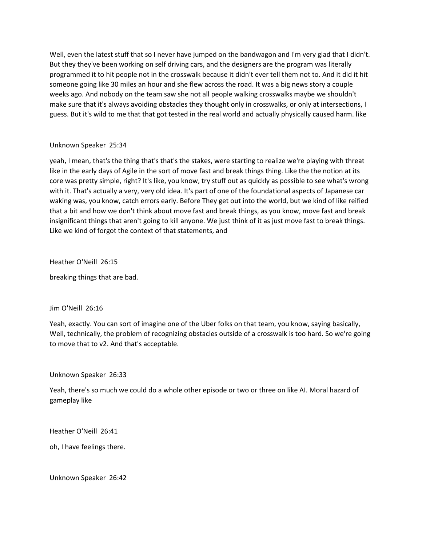Well, even the latest stuff that so I never have jumped on the bandwagon and I'm very glad that I didn't. But they they've been working on self driving cars, and the designers are the program was literally programmed it to hit people not in the crosswalk because it didn't ever tell them not to. And it did it hit someone going like 30 miles an hour and she flew across the road. It was a big news story a couple weeks ago. And nobody on the team saw she not all people walking crosswalks maybe we shouldn't make sure that it's always avoiding obstacles they thought only in crosswalks, or only at intersections, I guess. But it's wild to me that that got tested in the real world and actually physically caused harm. like

### Unknown Speaker 25:34

yeah, I mean, that's the thing that's that's the stakes, were starting to realize we're playing with threat like in the early days of Agile in the sort of move fast and break things thing. Like the the notion at its core was pretty simple, right? It's like, you know, try stuff out as quickly as possible to see what's wrong with it. That's actually a very, very old idea. It's part of one of the foundational aspects of Japanese car waking was, you know, catch errors early. Before They get out into the world, but we kind of like reified that a bit and how we don't think about move fast and break things, as you know, move fast and break insignificant things that aren't going to kill anyone. We just think of it as just move fast to break things. Like we kind of forgot the context of that statements, and

Heather O'Neill 26:15

breaking things that are bad.

#### Jim O'Neill 26:16

Yeah, exactly. You can sort of imagine one of the Uber folks on that team, you know, saying basically, Well, technically, the problem of recognizing obstacles outside of a crosswalk is too hard. So we're going to move that to v2. And that's acceptable.

# Unknown Speaker 26:33

Yeah, there's so much we could do a whole other episode or two or three on like AI. Moral hazard of gameplay like

Heather O'Neill 26:41

oh, I have feelings there.

Unknown Speaker 26:42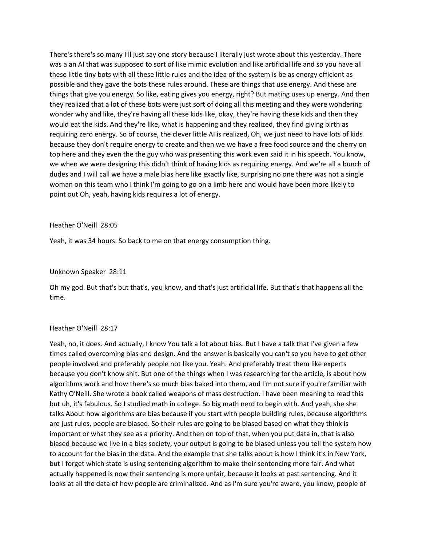There's there's so many I'll just say one story because I literally just wrote about this yesterday. There was a an AI that was supposed to sort of like mimic evolution and like artificial life and so you have all these little tiny bots with all these little rules and the idea of the system is be as energy efficient as possible and they gave the bots these rules around. These are things that use energy. And these are things that give you energy. So like, eating gives you energy, right? But mating uses up energy. And then they realized that a lot of these bots were just sort of doing all this meeting and they were wondering wonder why and like, they're having all these kids like, okay, they're having these kids and then they would eat the kids. And they're like, what is happening and they realized, they find giving birth as requiring zero energy. So of course, the clever little AI is realized, Oh, we just need to have lots of kids because they don't require energy to create and then we we have a free food source and the cherry on top here and they even the the guy who was presenting this work even said it in his speech. You know, we when we were designing this didn't think of having kids as requiring energy. And we're all a bunch of dudes and I will call we have a male bias here like exactly like, surprising no one there was not a single woman on this team who I think I'm going to go on a limb here and would have been more likely to point out Oh, yeah, having kids requires a lot of energy.

#### Heather O'Neill 28:05

Yeah, it was 34 hours. So back to me on that energy consumption thing.

#### Unknown Speaker 28:11

Oh my god. But that's but that's, you know, and that's just artificial life. But that's that happens all the time.

#### Heather O'Neill 28:17

Yeah, no, it does. And actually, I know You talk a lot about bias. But I have a talk that I've given a few times called overcoming bias and design. And the answer is basically you can't so you have to get other people involved and preferably people not like you. Yeah. And preferably treat them like experts because you don't know shit. But one of the things when I was researching for the article, is about how algorithms work and how there's so much bias baked into them, and I'm not sure if you're familiar with Kathy O'Neill. She wrote a book called weapons of mass destruction. I have been meaning to read this but uh, it's fabulous. So I studied math in college. So big math nerd to begin with. And yeah, she she talks About how algorithms are bias because if you start with people building rules, because algorithms are just rules, people are biased. So their rules are going to be biased based on what they think is important or what they see as a priority. And then on top of that, when you put data in, that is also biased because we live in a bias society, your output is going to be biased unless you tell the system how to account for the bias in the data. And the example that she talks about is how I think it's in New York, but I forget which state is using sentencing algorithm to make their sentencing more fair. And what actually happened is now their sentencing is more unfair, because it looks at past sentencing. And it looks at all the data of how people are criminalized. And as I'm sure you're aware, you know, people of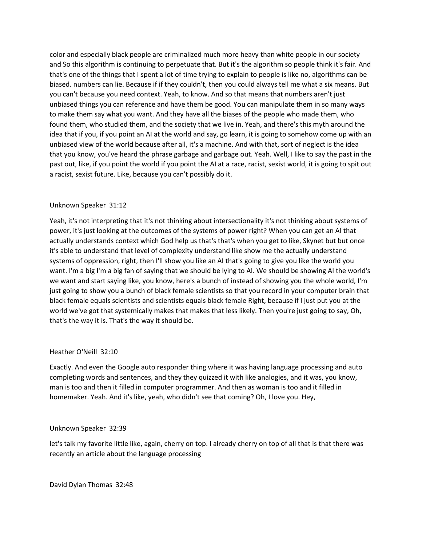color and especially black people are criminalized much more heavy than white people in our society and So this algorithm is continuing to perpetuate that. But it's the algorithm so people think it's fair. And that's one of the things that I spent a lot of time trying to explain to people is like no, algorithms can be biased. numbers can lie. Because if if they couldn't, then you could always tell me what a six means. But you can't because you need context. Yeah, to know. And so that means that numbers aren't just unbiased things you can reference and have them be good. You can manipulate them in so many ways to make them say what you want. And they have all the biases of the people who made them, who found them, who studied them, and the society that we live in. Yeah, and there's this myth around the idea that if you, if you point an AI at the world and say, go learn, it is going to somehow come up with an unbiased view of the world because after all, it's a machine. And with that, sort of neglect is the idea that you know, you've heard the phrase garbage and garbage out. Yeah. Well, I like to say the past in the past out, like, if you point the world if you point the AI at a race, racist, sexist world, it is going to spit out a racist, sexist future. Like, because you can't possibly do it.

# Unknown Speaker 31:12

Yeah, it's not interpreting that it's not thinking about intersectionality it's not thinking about systems of power, it's just looking at the outcomes of the systems of power right? When you can get an AI that actually understands context which God help us that's that's when you get to like, Skynet but but once it's able to understand that level of complexity understand like show me the actually understand systems of oppression, right, then I'll show you like an AI that's going to give you like the world you want. I'm a big I'm a big fan of saying that we should be lying to AI. We should be showing AI the world's we want and start saying like, you know, here's a bunch of instead of showing you the whole world, I'm just going to show you a bunch of black female scientists so that you record in your computer brain that black female equals scientists and scientists equals black female Right, because if I just put you at the world we've got that systemically makes that makes that less likely. Then you're just going to say, Oh, that's the way it is. That's the way it should be.

# Heather O'Neill 32:10

Exactly. And even the Google auto responder thing where it was having language processing and auto completing words and sentences, and they they quizzed it with like analogies, and it was, you know, man is too and then it filled in computer programmer. And then as woman is too and it filled in homemaker. Yeah. And it's like, yeah, who didn't see that coming? Oh, I love you. Hey,

# Unknown Speaker 32:39

let's talk my favorite little like, again, cherry on top. I already cherry on top of all that is that there was recently an article about the language processing

David Dylan Thomas 32:48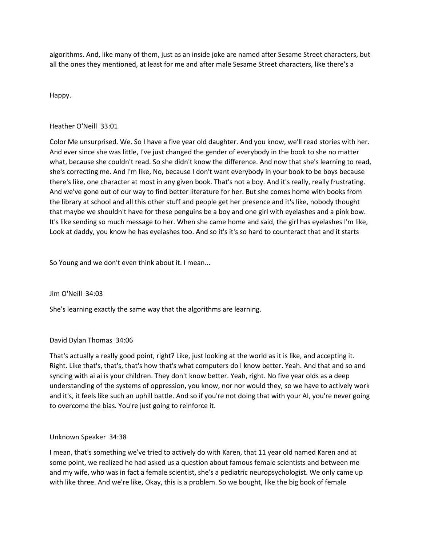algorithms. And, like many of them, just as an inside joke are named after Sesame Street characters, but all the ones they mentioned, at least for me and after male Sesame Street characters, like there's a

# Happy.

# Heather O'Neill 33:01

Color Me unsurprised. We. So I have a five year old daughter. And you know, we'll read stories with her. And ever since she was little, I've just changed the gender of everybody in the book to she no matter what, because she couldn't read. So she didn't know the difference. And now that she's learning to read, she's correcting me. And I'm like, No, because I don't want everybody in your book to be boys because there's like, one character at most in any given book. That's not a boy. And it's really, really frustrating. And we've gone out of our way to find better literature for her. But she comes home with books from the library at school and all this other stuff and people get her presence and it's like, nobody thought that maybe we shouldn't have for these penguins be a boy and one girl with eyelashes and a pink bow. It's like sending so much message to her. When she came home and said, the girl has eyelashes I'm like, Look at daddy, you know he has eyelashes too. And so it's it's so hard to counteract that and it starts

So Young and we don't even think about it. I mean...

# Jim O'Neill 34:03

She's learning exactly the same way that the algorithms are learning.

# David Dylan Thomas 34:06

That's actually a really good point, right? Like, just looking at the world as it is like, and accepting it. Right. Like that's, that's, that's how that's what computers do I know better. Yeah. And that and so and syncing with ai ai is your children. They don't know better. Yeah, right. No five year olds as a deep understanding of the systems of oppression, you know, nor nor would they, so we have to actively work and it's, it feels like such an uphill battle. And so if you're not doing that with your AI, you're never going to overcome the bias. You're just going to reinforce it.

# Unknown Speaker 34:38

I mean, that's something we've tried to actively do with Karen, that 11 year old named Karen and at some point, we realized he had asked us a question about famous female scientists and between me and my wife, who was in fact a female scientist, she's a pediatric neuropsychologist. We only came up with like three. And we're like, Okay, this is a problem. So we bought, like the big book of female